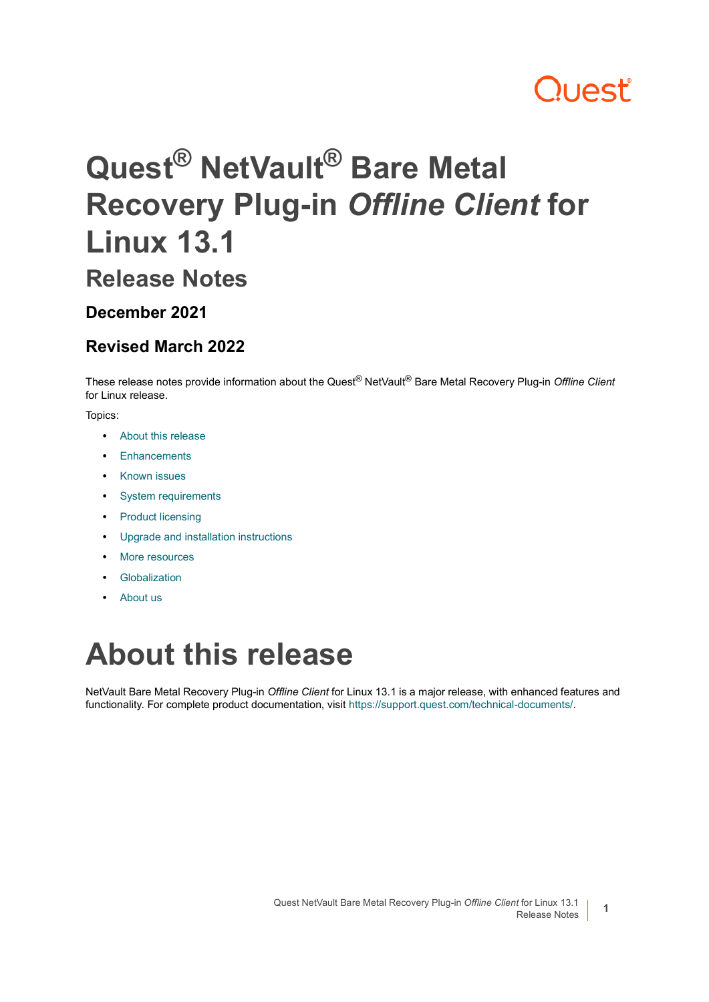# **Quest**

# **Quest® NetVault® Bare Metal Recovery Plug-in** *Offline Client* **for Linux 13.1**

### **Release Notes**

### **December 2021**

### **Revised March 2022**

These release notes provide information about the Quest® NetVault® Bare Metal Recovery Plug-in *Offline Client* for Linux release.

Topics:

- **•** [About this release](#page-0-0)
- **•** [Enhancements](#page-1-2)
- **•** [Known issues](#page-1-0)
- **•** [System requirements](#page-1-1)
- **•** [Product licensing](#page-2-0)
- **•** [Upgrade and installation instructions](#page-2-1)
- **•** [More resources](#page-2-2)
- **•** [Globalization](#page-3-0)
- **•** [About us](#page-3-1)

## <span id="page-0-0"></span>**About this release**

NetVault Bare Metal Recovery Plug-in *Offline Client* for Linux 13.1 is a major release, with enhanced features and functionality. For complete product documentation, visit<https://support.quest.com/technical-documents/>.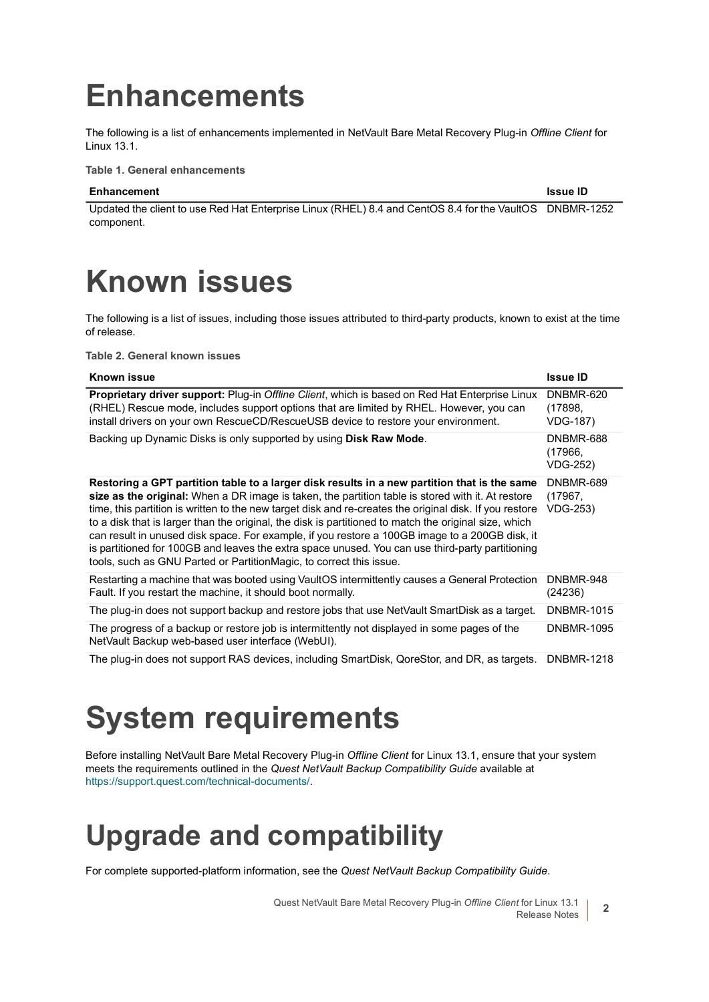## <span id="page-1-2"></span>**Enhancements**

The following is a list of enhancements implemented in NetVault Bare Metal Recovery Plug-in *Offline Client* for Linux 13.1.

**Table 1. General enhancements**

### **Enhancement Issue ID**

Updated the client to use Red Hat Enterprise Linux (RHEL) 8.4 and CentOS 8.4 for the VaultOS DNBMR-1252 component.

## <span id="page-1-0"></span>**Known issues**

The following is a list of issues, including those issues attributed to third-party products, known to exist at the time of release.

**Table 2. General known issues**

| Known issue                                                                                                                                                                                                                                                                                                                                                                                                                                                                                                                                                                                                                                                                                        | <b>Issue ID</b>                         |
|----------------------------------------------------------------------------------------------------------------------------------------------------------------------------------------------------------------------------------------------------------------------------------------------------------------------------------------------------------------------------------------------------------------------------------------------------------------------------------------------------------------------------------------------------------------------------------------------------------------------------------------------------------------------------------------------------|-----------------------------------------|
| <b>Proprietary driver support:</b> Plug-in Offline Client, which is based on Red Hat Enterprise Linux<br>(RHEL) Rescue mode, includes support options that are limited by RHEL. However, you can<br>install drivers on your own RescueCD/RescueUSB device to restore your environment.                                                                                                                                                                                                                                                                                                                                                                                                             | DNBMR-620<br>(17898,<br>VDG-187)        |
| Backing up Dynamic Disks is only supported by using <b>Disk Raw Mode</b> .                                                                                                                                                                                                                                                                                                                                                                                                                                                                                                                                                                                                                         | DNBMR-688<br>(17966)<br><b>VDG-252)</b> |
| Restoring a GPT partition table to a larger disk results in a new partition that is the same<br>size as the original: When a DR image is taken, the partition table is stored with it. At restore<br>time, this partition is written to the new target disk and re-creates the original disk. If you restore<br>to a disk that is larger than the original, the disk is partitioned to match the original size, which<br>can result in unused disk space. For example, if you restore a 100GB image to a 200GB disk, it<br>is partitioned for 100GB and leaves the extra space unused. You can use third-party partitioning<br>tools, such as GNU Parted or PartitionMagic, to correct this issue. | DNBMR-689<br>(17967,<br>VDG-253)        |
| Restarting a machine that was booted using VaultOS intermittently causes a General Protection<br>Fault. If you restart the machine, it should boot normally.                                                                                                                                                                                                                                                                                                                                                                                                                                                                                                                                       | DNBMR-948<br>(24236)                    |
| The plug-in does not support backup and restore jobs that use NetVault SmartDisk as a target.                                                                                                                                                                                                                                                                                                                                                                                                                                                                                                                                                                                                      | <b>DNBMR-1015</b>                       |
| The progress of a backup or restore job is intermittently not displayed in some pages of the<br>NetVault Backup web-based user interface (WebUI).                                                                                                                                                                                                                                                                                                                                                                                                                                                                                                                                                  | <b>DNBMR-1095</b>                       |
| The plug-in does not support RAS devices, including SmartDisk, QoreStor, and DR, as targets.                                                                                                                                                                                                                                                                                                                                                                                                                                                                                                                                                                                                       | <b>DNBMR-1218</b>                       |

## <span id="page-1-1"></span>**System requirements**

Before installing NetVault Bare Metal Recovery Plug-in *Offline Client* for Linux 13.1, ensure that your system meets the requirements outlined in the *Quest NetVault Backup Compatibility Guide* available at <https://support.quest.com/technical-documents/>.

## **Upgrade and compatibility**

For complete supported-platform information, see the *Quest NetVault Backup Compatibility Guide*.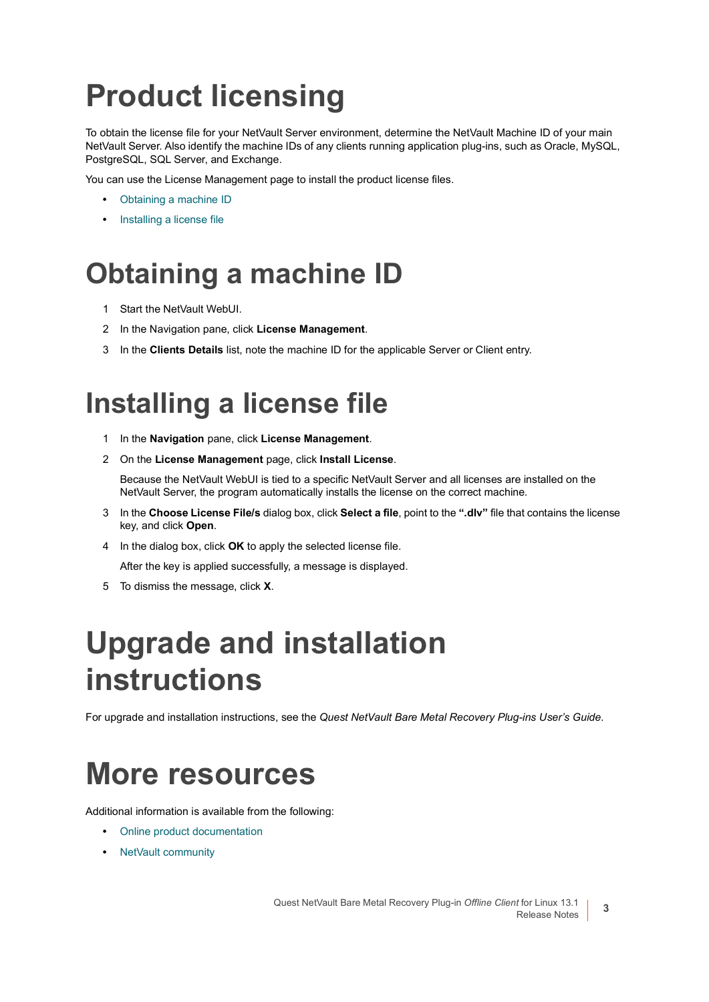# <span id="page-2-0"></span>**Product licensing**

To obtain the license file for your NetVault Server environment, determine the NetVault Machine ID of your main NetVault Server. Also identify the machine IDs of any clients running application plug-ins, such as Oracle, MySQL, PostgreSQL, SQL Server, and Exchange.

You can use the License Management page to install the product license files.

- **•** [Obtaining a machine ID](#page-2-3)
- **•** [Installing a license file](#page-2-4)

## <span id="page-2-3"></span>**Obtaining a machine ID**

- 1 Start the NetVault WebUI.
- 2 In the Navigation pane, click **License Management**.
- 3 In the **Clients Details** list, note the machine ID for the applicable Server or Client entry.

### <span id="page-2-4"></span>**Installing a license file**

- 1 In the **Navigation** pane, click **License Management**.
- 2 On the **License Management** page, click **Install License**.

Because the NetVault WebUI is tied to a specific NetVault Server and all licenses are installed on the NetVault Server, the program automatically installs the license on the correct machine.

- 3 In the **Choose License File/s** dialog box, click **Select a file**, point to the **".dlv"** file that contains the license key, and click **Open**.
- 4 In the dialog box, click **OK** to apply the selected license file.

After the key is applied successfully, a message is displayed.

5 To dismiss the message, click **X**.

## <span id="page-2-1"></span>**Upgrade and installation instructions**

For upgrade and installation instructions, see the *Quest NetVault Bare Metal Recovery Plug-ins User's Guide*.

## <span id="page-2-2"></span>**More resources**

Additional information is available from the following:

- **•** [Online product documentation](https://support.quest.com/technical-documents/)
- **•** [NetVault community](https://www.quest.com/community/products/netvault/)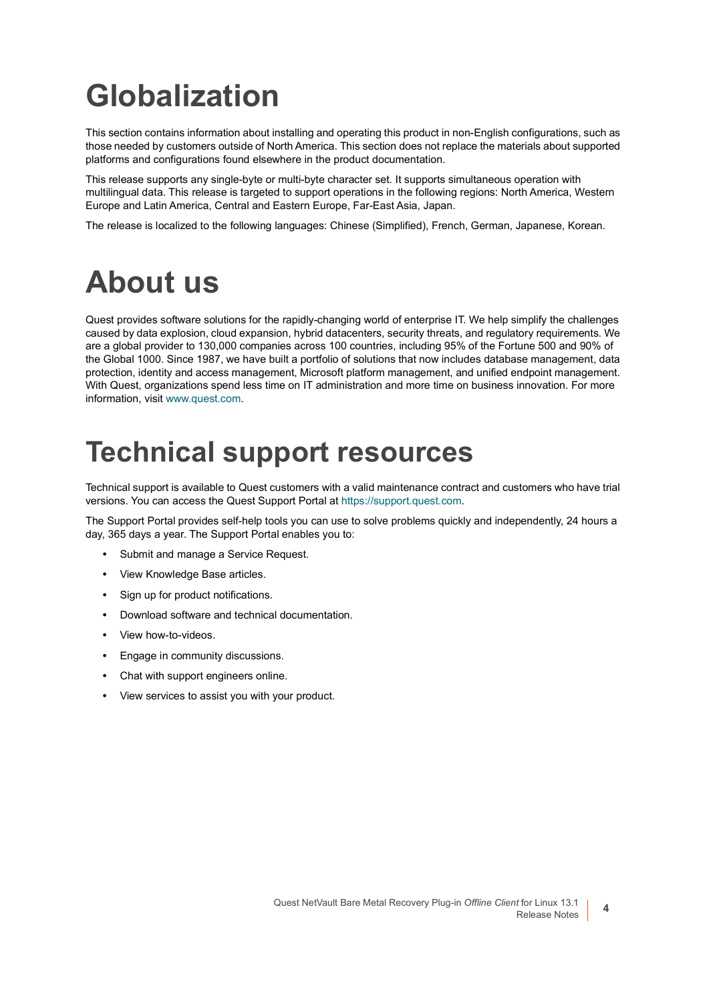# <span id="page-3-0"></span>**Globalization**

This section contains information about installing and operating this product in non-English configurations, such as those needed by customers outside of North America. This section does not replace the materials about supported platforms and configurations found elsewhere in the product documentation.

This release supports any single-byte or multi-byte character set. It supports simultaneous operation with multilingual data. This release is targeted to support operations in the following regions: North America, Western Europe and Latin America, Central and Eastern Europe, Far-East Asia, Japan.

The release is localized to the following languages: Chinese (Simplified), French, German, Japanese, Korean.

## <span id="page-3-1"></span>**About us**

Quest provides software solutions for the rapidly-changing world of enterprise IT. We help simplify the challenges caused by data explosion, cloud expansion, hybrid datacenters, security threats, and regulatory requirements. We are a global provider to 130,000 companies across 100 countries, including 95% of the Fortune 500 and 90% of the Global 1000. Since 1987, we have built a portfolio of solutions that now includes database management, data protection, identity and access management, Microsoft platform management, and unified endpoint management. With Quest, organizations spend less time on IT administration and more time on business innovation. For more information, visit [www.quest.com](https://www.quest.com/company/contact-us.aspx).

## **Technical support resources**

Technical support is available to Quest customers with a valid maintenance contract and customers who have trial versions. You can access the Quest Support Portal at [https://support.quest.com.](https://support.quest.com)

The Support Portal provides self-help tools you can use to solve problems quickly and independently, 24 hours a day, 365 days a year. The Support Portal enables you to:

- **•** Submit and manage a Service Request.
- **•** View Knowledge Base articles.
- **•** Sign up for product notifications.
- **•** Download software and technical documentation.
- **•** View how-to-videos.
- **•** Engage in community discussions.
- **•** Chat with support engineers online.
- **•** View services to assist you with your product.